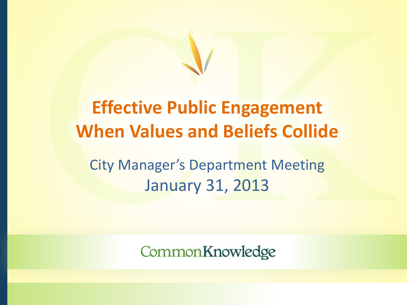# **Effective Public Engagement When Values and Beliefs Collide**

City Manager's Department Meeting January 31, 2013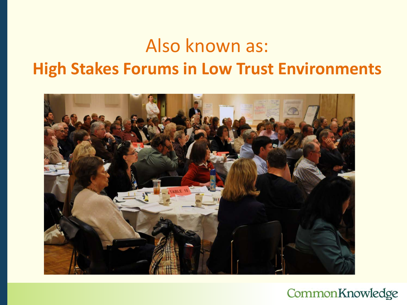### Also known as: **High Stakes Forums in Low Trust Environments**

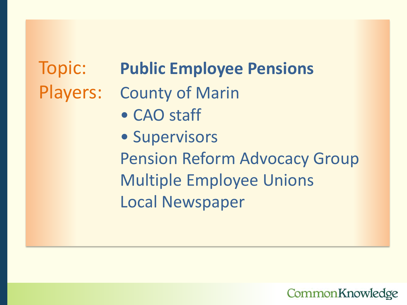### Topic: **Public Employee Pensions**

- Players: County of Marin
	- CAO staff
	- Supervisors Pension Reform Advocacy Group Multiple Employee Unions Local Newspaper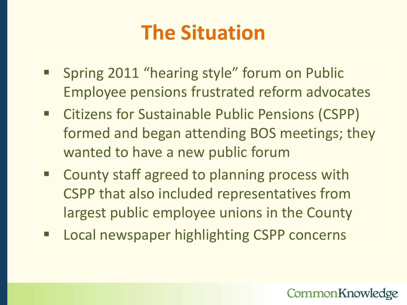### **The Situation**

- **Spring 2011 "hearing style" forum on Public** Employee pensions frustrated reform advocates
- **EXPLEM** Citizens for Sustainable Public Pensions (CSPP) formed and began attending BOS meetings; they wanted to have a new public forum
- County staff agreed to planning process with CSPP that also included representatives from largest public employee unions in the County
- **EXPLOCAL NEW EXPLOCAL DETERM Local newspaper highlighting CSPP concerns**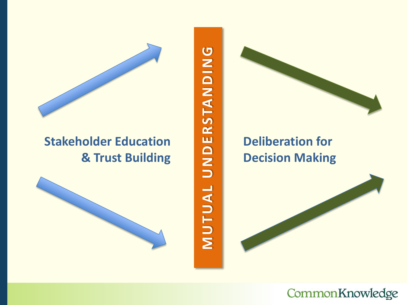

#### **Stakeholder Education & Trust Building**



MUTUAL UNDERSTANDING **MUTUAL UNDERSTANDING**

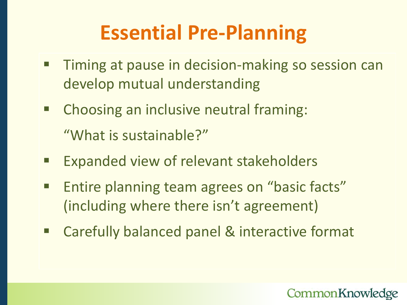### **Essential Pre-Planning**

- **Timing at pause in decision-making so session can** develop mutual understanding
- **EXTE:** Choosing an inclusive neutral framing: "What is sustainable?"
- **Expanded view of relevant stakeholders**
- Entire planning team agrees on "basic facts" (including where there isn't agreement)
- Carefully balanced panel & interactive format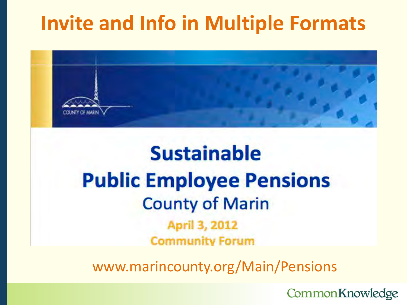### **Invite and Info in Multiple Formats**



### **Sustainable Public Employee Pensions County of Marin** April 3, 2012 **Community Forum**

www.marincounty.org/Main/Pensions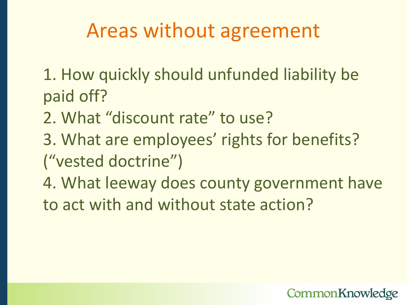### Areas without agreement

1. How quickly should unfunded liability be paid off?

- 2. What "discount rate" to use?
- 3. What are employees' rights for benefits? ("vested doctrine")
- 4. What leeway does county government have to act with and without state action?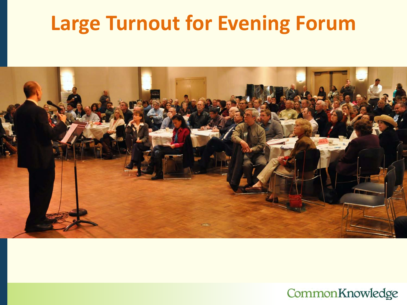### **Large Turnout for Evening Forum**

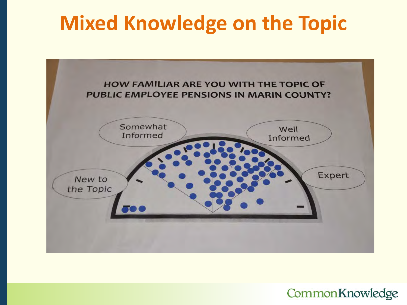### **Mixed Knowledge on the Topic**

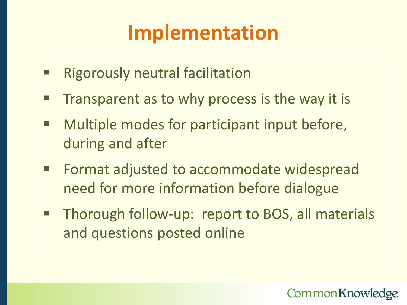# **Implementation**

- **Rigorously neutral facilitation**
- $\blacksquare$  Transparent as to why process is the way it is
- **Multiple modes for participant input before,** during and after
- Format adjusted to accommodate widespread need for more information before dialogue
- **Thorough follow-up: report to BOS, all materials** and questions posted online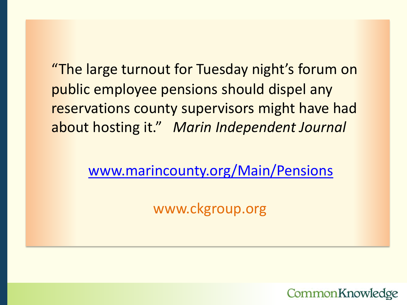"The large turnout for Tuesday night's forum on public employee pensions should dispel any reservations county supervisors might have had about hosting it." *Marin Independent Journal*

[www.marincounty.org/Main/Pensions](http://www.marincounty.org/Main/Pensions)

www.ckgroup.org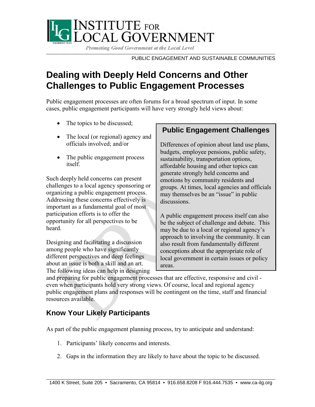

Promoting Good Government at the Local Level

PUBLIC ENGAGEMENT AND SUSTAINABLE COMMUNITIES

#### **Dealing with Deeply Held Concerns and Other Challenges to Public Engagement Processes**

Public engagement processes are often forums for a broad spectrum of input. In some cases, public engagement participants will have very strongly held views about:

- The topics to be discussed;
- The local (or regional) agency and officials involved; and/or
- The public engagement process itself.

Such deeply held concerns can present challenges to a local agency sponsoring or organizing a public engagement process. Addressing these concerns effectively is important as a fundamental goal of most participation efforts is to offer the opportunity for all perspectives to be heard.

Designing and facilitating a discussion among people who have significantly different perspectives and deep feelings about an issue is both a skill and an art. The following ideas can help in designing

#### **Public Engagement Challenges**

Differences of opinion about land use plans, budgets, employee pensions, public safety, sustainability, transportation options, affordable housing and other topics can generate strongly held concerns and emotions by community residents and groups. At times, local agencies and officials may themselves be an "issue" in public discussions.

A public engagement process itself can also be the subject of challenge and debate. This may be due to a local or regional agency's approach to involving the community. It can also result from fundamentally different conceptions about the appropriate role of local government in certain issues or policy areas.

and preparing for public engagement processes that are effective, responsive and civil even when participants hold very strong views. Of course, local and regional agency public engagement plans and responses will be contingent on the time, staff and financial resources available.

#### **Know Your Likely Participants**

As part of the public engagement planning process, try to anticipate and understand:

- 1. Participants' likely concerns and interests.
- 2. Gaps in the information they are likely to have about the topic to be discussed.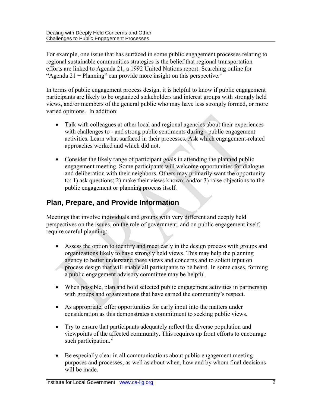For example, one issue that has surfaced in some public engagement processes relating to regional sustainable communities strategies is the belief that regional transportation efforts are linked to Agenda 21, a 1992 United Nations report. Searching online for "Agenda 2[1](#page-18-0) + Planning" can provide more insight on this perspective.<sup>1</sup>

In terms of public engagement process design, it is helpful to know if public engagement participants are likely to be organized stakeholders and interest groups with strongly held views, and/or members of the general public who may have less strongly formed, or more varied opinions. In addition:

- Talk with colleagues at other local and regional agencies about their experiences with challenges to - and strong public sentiments during - public engagement activities. Learn what surfaced in their processes. Ask which engagement-related approaches worked and which did not.
- Consider the likely range of participant goals in attending the planned public engagement meeting. Some participants will welcome opportunities for dialogue and deliberation with their neighbors. Others may primarily want the opportunity to: 1) ask questions; 2) make their views known; and/or 3) raise objections to the public engagement or planning process itself.

#### **Plan, Prepare, and Provide Information**

Meetings that involve individuals and groups with very different and deeply held perspectives on the issues, on the role of government, and on public engagement itself, require careful planning:

- Assess the option to identify and meet early in the design process with groups and organizations likely to have strongly held views. This may help the planning agency to better understand these views and concerns and to solicit input on process design that will enable all participants to be heard. In some cases, forming a public engagement advisory committee may be helpful.
- When possible, plan and hold selected public engagement activities in partnership with groups and organizations that have earned the community's respect.
- As appropriate, offer opportunities for early input into the matters under consideration as this demonstrates a commitment to seeking public views.
- Try to ensure that participants adequately reflect the diverse population and viewpoints of the affected community. This requires up front efforts to encourage such participation.<sup>[2](#page-18-1)</sup>
- Be especially clear in all communications about public engagement meeting purposes and processes, as well as about when, how and by whom final decisions will be made.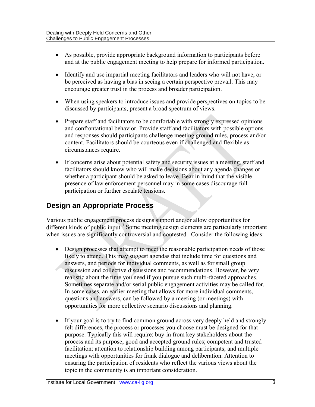- As possible, provide appropriate background information to participants before and at the public engagement meeting to help prepare for informed participation.
- Identify and use impartial meeting facilitators and leaders who will not have, or be perceived as having a bias in seeing a certain perspective prevail. This may encourage greater trust in the process and broader participation.
- When using speakers to introduce issues and provide perspectives on topics to be discussed by participants, present a broad spectrum of views.
- Prepare staff and facilitators to be comfortable with strongly expressed opinions and confrontational behavior. Provide staff and facilitators with possible options and responses should participants challenge meeting ground rules, process and/or content. Facilitators should be courteous even if challenged and flexible as circumstances require.
- If concerns arise about potential safety and security issues at a meeting, staff and facilitators should know who will make decisions about any agenda changes or whether a participant should be asked to leave. Bear in mind that the visible presence of law enforcement personnel may in some cases discourage full participation or further escalate tensions.

#### **Design an Appropriate Process**

Various public engagement process designs support and/or allow opportunities for different kinds of public input.<sup>[3](#page-18-2)</sup> Some meeting design elements are particularly important when issues are significantly controversial and contested. Consider the following ideas:

- Design processes that attempt to meet the reasonable participation needs of those likely to attend. This may suggest agendas that include time for questions and answers, and periods for individual comments, as well as for small group discussion and collective discussions and recommendations. However, be *very*  realistic about the time you need if you pursue such multi-faceted approaches. Sometimes separate and/or serial public engagement activities may be called for. In some cases, an earlier meeting that allows for more individual comments, questions and answers, can be followed by a meeting (or meetings) with opportunities for more collective scenario discussions and planning.
- If your goal is to try to find common ground across very deeply held and strongly felt differences, the process or processes you choose must be designed for that purpose. Typically this will require: buy-in from key stakeholders about the process and its purpose; good and accepted ground rules; competent and trusted facilitation; attention to relationship building among participants; and multiple meetings with opportunities for frank dialogue and deliberation. Attention to ensuring the participation of residents who reflect the various views about the topic in the community is an important consideration.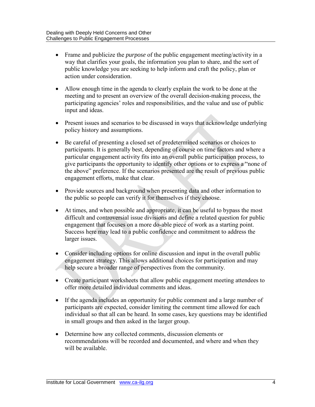- Frame and publicize the *purpose* of the public engagement meeting/activity in a way that clarifies your goals, the information you plan to share, and the sort of public knowledge you are seeking to help inform and craft the policy, plan or action under consideration.
- Allow enough time in the agenda to clearly explain the work to be done at the meeting and to present an overview of the overall decision-making process, the participating agencies' roles and responsibilities, and the value and use of public input and ideas.
- Present issues and scenarios to be discussed in ways that acknowledge underlying policy history and assumptions.
- Be careful of presenting a closed set of predetermined scenarios or choices to participants. It is generally best, depending of course on time factors and where a particular engagement activity fits into an overall public participation process, to give participants the opportunity to identify other options or to express a "none of the above" preference. If the scenarios presented are the result of previous public engagement efforts, make that clear.
- Provide sources and background when presenting data and other information to the public so people can verify it for themselves if they choose.
- At times, and when possible and appropriate, it can be useful to bypass the most difficult and controversial issue divisions and define a related question for public engagement that focuses on a more do-able piece of work as a starting point. Success here may lead to a public confidence and commitment to address the larger issues.
- Consider including options for online discussion and input in the overall public engagement strategy. This allows additional choices for participation and may help secure a broader range of perspectives from the community.
- Create participant worksheets that allow public engagement meeting attendees to offer more detailed individual comments and ideas.
- If the agenda includes an opportunity for public comment and a large number of participants are expected, consider limiting the comment time allowed for each individual so that all can be heard. In some cases, key questions may be identified in small groups and then asked in the larger group.
- Determine how any collected comments, discussion elements or recommendations will be recorded and documented, and where and when they will be available.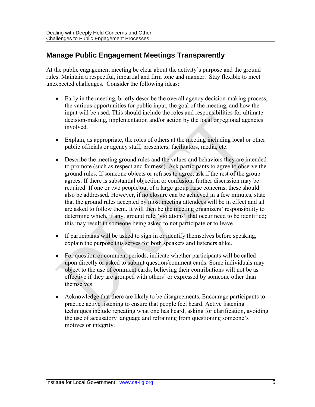#### **Manage Public Engagement Meetings Transparently**

At the public engagement meeting be clear about the activity's purpose and the ground rules. Maintain a respectful, impartial and firm tone and manner. Stay flexible to meet unexpected challenges. Consider the following ideas:

- Early in the meeting, briefly describe the overall agency decision-making process, the various opportunities for public input, the goal of the meeting, and how the input will be used. This should include the roles and responsibilities for ultimate decision-making, implementation and/or action by the local or regional agencies involved.
- Explain, as appropriate, the roles of others at the meeting including local or other public officials or agency staff, presenters, facilitators, media, etc.
- Describe the meeting ground rules and the values and behaviors they are intended to promote (such as respect and fairness). Ask participants to agree to observe the ground rules. If someone objects or refuses to agree, ask if the rest of the group agrees. If there is substantial objection or confusion, further discussion may be required. If one or two people out of a large group raise concerns, these should also be addressed. However, if no closure can be achieved in a few minutes, state that the ground rules accepted by most meeting attendees will be in effect and all are asked to follow them. It will then be the meeting organizers' responsibility to determine which, if any, ground rule "violations" that occur need to be identified; this may result in someone being asked to not participate or to leave.
- If participants will be asked to sign in or identify themselves before speaking, explain the purpose this serves for both speakers and listeners alike.
- For question or comment periods, indicate whether participants will be called upon directly or asked to submit question/comment cards. Some individuals may object to the use of comment cards, believing their contributions will not be as effective if they are grouped with others' or expressed by someone other than themselves.
- Acknowledge that there are likely to be disagreements. Encourage participants to practice active listening to ensure that people feel heard. Active listening techniques include repeating what one has heard, asking for clarification, avoiding the use of accusatory language and refraining from questioning someone's motives or integrity.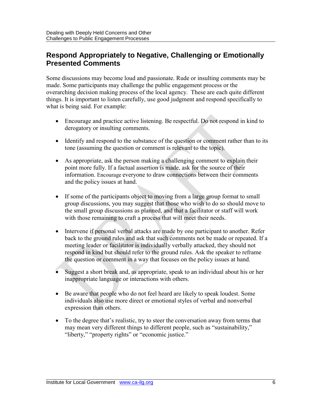#### **Respond Appropriately to Negative, Challenging or Emotionally Presented Comments**

Some discussions may become loud and passionate. Rude or insulting comments may be made. Some participants may challenge the public engagement process or the overarching decision making process of the local agency. These are each quite different things. It is important to listen carefully, use good judgment and respond specifically to what is being said. For example:

- Encourage and practice active listening. Be respectful. Do not respond in kind to derogatory or insulting comments.
- Identify and respond to the substance of the question or comment rather than to its tone (assuming the question or comment is relevant to the topic).
- As appropriate, ask the person making a challenging comment to explain their point more fully. If a factual assertion is made, ask for the source of their information. Encourage everyone to draw connections between their comments and the policy issues at hand.
- If some of the participants object to moving from a large group format to small group discussions, you may suggest that those who wish to do so should move to the small group discussions as planned, and that a facilitator or staff will work with those remaining to craft a process that will meet their needs.
- Intervene if personal verbal attacks are made by one participant to another. Refer back to the ground rules and ask that such comments not be made or repeated. If a meeting leader or facilitator is individually verbally attacked, they should not respond in kind but should refer to the ground rules. Ask the speaker to reframe the question or comment in a way that focuses on the policy issues at hand.
- Suggest a short break and, as appropriate, speak to an individual about his or her inappropriate language or interactions with others.
- Be aware that people who do not feel heard are likely to speak loudest. Some individuals also use more direct or emotional styles of verbal and nonverbal expression than others.
- To the degree that's realistic, try to steer the conversation away from terms that may mean very different things to different people, such as "sustainability," "liberty," "property rights" or "economic justice."